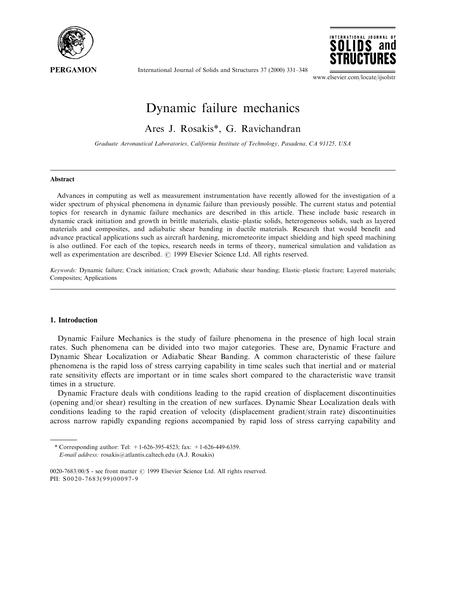

International Journal of Solids and Structures 37 (2000) 331-348



www.elsevier.com/locate/ijsolstr

# Dynamic failure mechanics

Ares J. Rosakis\*, G. Ravichandran

Graduate Aeronautical Laboratories, California Institute of Technology, Pasadena, CA 91125, USA

## Abstract

Advances in computing as well as measurement instrumentation have recently allowed for the investigation of a wider spectrum of physical phenomena in dynamic failure than previously possible. The current status and potential topics for research in dynamic failure mechanics are described in this article. These include basic research in dynamic crack initiation and growth in brittle materials, elastic-plastic solids, heterogeneous solids, such as layered materials and composites, and adiabatic shear banding in ductile materials. Research that would benefit and advance practical applications such as aircraft hardening, micrometeorite impact shielding and high speed machining is also outlined. For each of the topics, research needs in terms of theory, numerical simulation and validation as well as experimentation are described.  $\odot$  1999 Elsevier Science Ltd. All rights reserved.

Keywords: Dynamic failure; Crack initiation; Crack growth; Adiabatic shear banding; Elastic-plastic fracture; Layered materials; Composites; Applications

#### 1. Introduction

Dynamic Failure Mechanics is the study of failure phenomena in the presence of high local strain rates. Such phenomena can be divided into two major categories. These are, Dynamic Fracture and Dynamic Shear Localization or Adiabatic Shear Banding. A common characteristic of these failure phenomena is the rapid loss of stress carrying capability in time scales such that inertial and or material rate sensitivity effects are important or in time scales short compared to the characteristic wave transit times in a structure.

Dynamic Fracture deals with conditions leading to the rapid creation of displacement discontinuities (opening and/or shear) resulting in the creation of new surfaces. Dynamic Shear Localization deals with conditions leading to the rapid creation of velocity (displacement gradient/strain rate) discontinuities across narrow rapidly expanding regions accompanied by rapid loss of stress carrying capability and

<sup>\*</sup> Corresponding author: Tel: +1-626-395-4523; fax: +1-626-449-6359. E-mail address: rosakis@atlantis.caltech.edu (A.J. Rosakis)

<sup>0020-7683/00/\$ -</sup> see front matter © 1999 Elsevier Science Ltd. All rights reserved. PII: S0020-7683(99)00097-9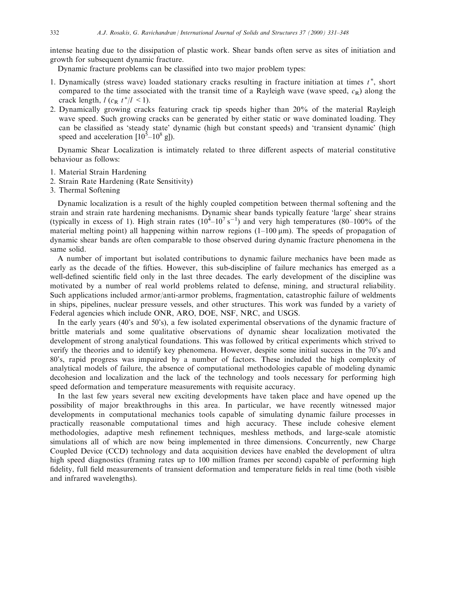intense heating due to the dissipation of plastic work. Shear bands often serve as sites of initiation and growth for subsequent dynamic fracture.

Dynamic fracture problems can be classified into two major problem types:

- 1. Dynamically (stress wave) loaded stationary cracks resulting in fracture initiation at times  $t^*$ , short compared to the time associated with the transit time of a Rayleigh wave (wave speed,  $c_R$ ) along the crack length,  $l$  ( $c_R$   $t^*/l \leq 1$ ).
- 2. Dynamically growing cracks featuring crack tip speeds higher than 20% of the material Rayleigh wave speed. Such growing cracks can be generated by either static or wave dominated loading. They can be classified as 'steady state' dynamic (high but constant speeds) and 'transient dynamic' (high speed and acceleration  $[10^5 - 10^8 \text{ g}].$

Dynamic Shear Localization is intimately related to three different aspects of material constitutive behaviour as follows:

- 1. Material Strain Hardening
- 2. Strain Rate Hardening (Rate Sensitivity)
- 3. Thermal Softening

Dynamic localization is a result of the highly coupled competition between thermal softening and the strain and strain rate hardening mechanisms. Dynamic shear bands typically feature `large' shear strains (typically in excess of 1). High strain rates  $(10^4 - 10^7 s^{-1})$  and very high temperatures (80–100% of the material melting point) all happening within narrow regions  $(1-100 \,\mu\text{m})$ . The speeds of propagation of dynamic shear bands are often comparable to those observed during dynamic fracture phenomena in the same solid.

A number of important but isolated contributions to dynamic failure mechanics have been made as early as the decade of the fifties. However, this sub-discipline of failure mechanics has emerged as a well-defined scientific field only in the last three decades. The early development of the discipline was motivated by a number of real world problems related to defense, mining, and structural reliability. Such applications included armor/anti-armor problems, fragmentation, catastrophic failure of weldments in ships, pipelines, nuclear pressure vessels, and other structures. This work was funded by a variety of Federal agencies which include ONR, ARO, DOE, NSF, NRC, and USGS.

In the early years (40's and 50's), a few isolated experimental observations of the dynamic fracture of brittle materials and some qualitative observations of dynamic shear localization motivated the development of strong analytical foundations. This was followed by critical experiments which strived to verify the theories and to identify key phenomena. However, despite some initial success in the 70's and 80's, rapid progress was impaired by a number of factors. These included the high complexity of analytical models of failure, the absence of computational methodologies capable of modeling dynamic decohesion and localization and the lack of the technology and tools necessary for performing high speed deformation and temperature measurements with requisite accuracy.

In the last few years several new exciting developments have taken place and have opened up the possibility of major breakthroughs in this area. In particular, we have recently witnessed major developments in computational mechanics tools capable of simulating dynamic failure processes in practically reasonable computational times and high accuracy. These include cohesive element methodologies, adaptive mesh refinement techniques, meshless methods, and large-scale atomistic simulations all of which are now being implemented in three dimensions. Concurrently, new Charge Coupled Device (CCD) technology and data acquisition devices have enabled the development of ultra high speed diagnostics (framing rates up to 100 million frames per second) capable of performing high fidelity, full field measurements of transient deformation and temperature fields in real time (both visible and infrared wavelengths).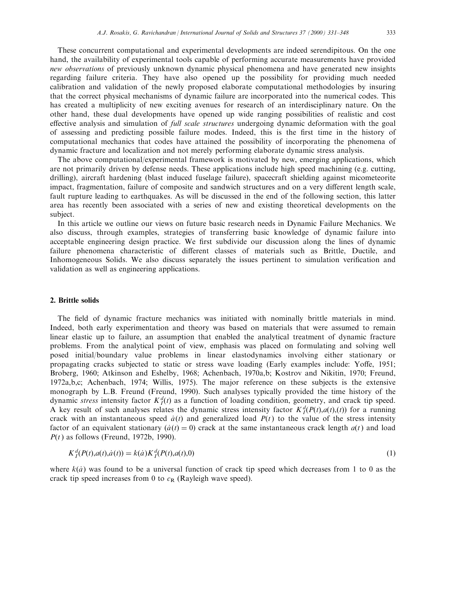These concurrent computational and experimental developments are indeed serendipitous. On the one hand, the availability of experimental tools capable of performing accurate measurements have provided new observations of previously unknown dynamic physical phenomena and have generated new insights regarding failure criteria. They have also opened up the possibility for providing much needed calibration and validation of the newly proposed elaborate computational methodologies by insuring that the correct physical mechanisms of dynamic failure are incorporated into the numerical codes. This has created a multiplicity of new exciting avenues for research of an interdisciplinary nature. On the other hand, these dual developments have opened up wide ranging possibilities of realistic and cost effective analysis and simulation of *full scale structures* undergoing dynamic deformation with the goal of assessing and predicting possible failure modes. Indeed, this is the first time in the history of computational mechanics that codes have attained the possibility of incorporating the phenomena of dynamic fracture and localization and not merely performing elaborate dynamic stress analysis.

The above computational/experimental framework is motivated by new, emerging applications, which are not primarily driven by defense needs. These applications include high speed machining (e.g. cutting, drilling), aircraft hardening (blast induced fuselage failure), spacecraft shielding against micometeorite impact, fragmentation, failure of composite and sandwich structures and on a very different length scale, fault rupture leading to earthquakes. As will be discussed in the end of the following section, this latter area has recently been associated with a series of new and existing theoretical developments on the subject.

In this article we outline our views on future basic research needs in Dynamic Failure Mechanics. We also discuss, through examples, strategies of transferring basic knowledge of dynamic failure into acceptable engineering design practice. We first subdivide our discussion along the lines of dynamic failure phenomena characteristic of different classes of materials such as Brittle, Ductile, and Inhomogeneous Solids. We also discuss separately the issues pertinent to simulation verification and validation as well as engineering applications.

#### 2. Brittle solids

The field of dynamic fracture mechanics was initiated with nominally brittle materials in mind. Indeed, both early experimentation and theory was based on materials that were assumed to remain linear elastic up to failure, an assumption that enabled the analytical treatment of dynamic fracture problems. From the analytical point of view, emphasis was placed on formulating and solving well posed initial/boundary value problems in linear elastodynamics involving either stationary or propagating cracks subjected to static or stress wave loading (Early examples include: Yoffe, 1951; Broberg, 1960; Atkinson and Eshelby, 1968; Achenbach, 1970a,b; Kostrov and Nikitin, 1970; Freund, 1972a,b,c; Achenbach, 1974; Willis, 1975). The major reference on these subjects is the extensive monograph by L.B. Freund (Freund, 1990). Such analyses typically provided the time history of the dynamic *stress* intensity factor  $K_I^d(t)$  as a function of loading condition, geometry, and crack tip speed. A key result of such analyses relates the dynamic stress intensity factor  $K_I^d(P(t),a(t),t)$  for a running crack with an instantaneous speed  $\dot{a}(t)$  and generalized load  $P(t)$  to the value of the stress intensity factor of an equivalent stationary  $(\dot{a}(t) = 0)$  crack at the same instantaneous crack length  $a(t)$  and load  $P(t)$  as follows (Freund, 1972b, 1990).

$$
K_I^d(P(t),a(t),\dot{a}(t)) = k(\dot{a})K_I^d(P(t),a(t),0)
$$
\n(1)

where  $k(a)$  was found to be a universal function of crack tip speed which decreases from 1 to 0 as the crack tip speed increases from 0 to  $c_R$  (Rayleigh wave speed).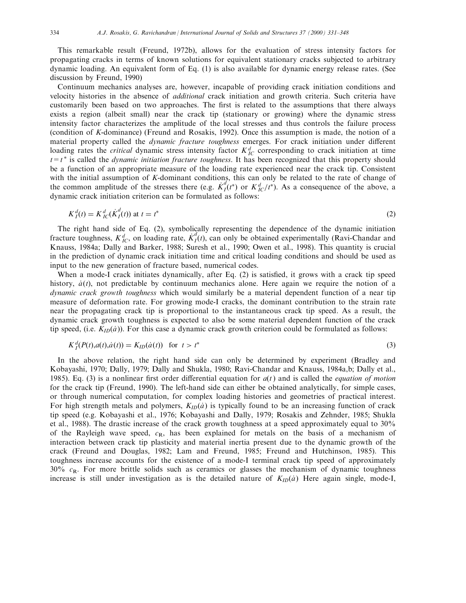This remarkable result (Freund, 1972b), allows for the evaluation of stress intensity factors for propagating cracks in terms of known solutions for equivalent stationary cracks subjected to arbitrary dynamic loading. An equivalent form of Eq. (1) is also available for dynamic energy release rates. (See discussion by Freund, 1990)

Continuum mechanics analyses are, however, incapable of providing crack initiation conditions and velocity histories in the absence of additional crack initiation and growth criteria. Such criteria have customarily been based on two approaches. The first is related to the assumptions that there always exists a region (albeit small) near the crack tip (stationary or growing) where the dynamic stress intensity factor characterizes the amplitude of the local stresses and thus controls the failure process (condition of K-dominance) (Freund and Rosakis, 1992). Once this assumption is made, the notion of a material property called the *dynamic fracture toughness* emerges. For crack initiation under different loading rates the *critical* dynamic stress intensity factor  $K_{IC}^d$  corresponding to crack initiation at time  $t=t^*$  is called the *dynamic initiation fracture toughness*. It has been recognized that this property should be a function of an appropriate measure of the loading rate experienced near the crack tip. Consistent with the initial assumption of K-dominant conditions, this can only be related to the rate of change of the common amplitude of the stresses there (e.g.  $\dot{K}_I^d(t^*)$  or  $K_{I\!C}^d/t^*$ ). As a consequence of the above, a dynamic crack initiation criterion can be formulated as follows:

$$
K_I^d(t) = K_{IC}^d(\dot{K}_I^d(t)) \text{ at } t = t^*
$$
 (2)

The right hand side of Eq. (2), symbolically representing the dependence of the dynamic initiation fracture toughness,  $K_{IC}^d$ , on loading rate,  $K_I^d(t)$ , can only be obtained experimentally (Ravi-Chandar and Knauss, 1984a; Dally and Barker, 1988; Suresh et al., 1990; Owen et al., 1998). This quantity is crucial in the prediction of dynamic crack initiation time and critical loading conditions and should be used as input to the new generation of fracture based, numerical codes.

When a mode-I crack initiates dynamically, after Eq. (2) is satisfied, it grows with a crack tip speed history,  $\dot{a}(t)$ , not predictable by continuum mechanics alone. Here again we require the notion of a dynamic crack growth toughness which would similarly be a material dependent function of a near tip measure of deformation rate. For growing mode-I cracks, the dominant contribution to the strain rate near the propagating crack tip is proportional to the instantaneous crack tip speed. As a result, the dynamic crack growth toughness is expected to also be some material dependent function of the crack tip speed, (i.e.  $K_{ID}(a)$ ). For this case a dynamic crack growth criterion could be formulated as follows:

$$
K_I^d(P(t),a(t),\dot{a}(t)) = K_{ID}(\dot{a}(t)) \text{ for } t > t^*
$$
\n(3)

In the above relation, the right hand side can only be determined by experiment (Bradley and Kobayashi, 1970; Dally, 1979; Dally and Shukla, 1980; Ravi-Chandar and Knauss, 1984a,b; Dally et al., 1985). Eq. (3) is a nonlinear first order differential equation for  $a(t)$  and is called the *equation of motion* for the crack tip (Freund, 1990). The left-hand side can either be obtained analytically, for simple cases, or through numerical computation, for complex loading histories and geometries of practical interest. For high strength metals and polymers,  $K_{ID}(a)$  is typically found to be an increasing function of crack tip speed (e.g. Kobayashi et al., 1976; Kobayashi and Dally, 1979; Rosakis and Zehnder, 1985; Shukla et al., 1988). The drastic increase of the crack growth toughness at a speed approximately equal to 30% of the Rayleigh wave speed,  $c_R$ , has been explained for metals on the basis of a mechanism of interaction between crack tip plasticity and material inertia present due to the dynamic growth of the crack (Freund and Douglas, 1982; Lam and Freund, 1985; Freund and Hutchinson, 1985). This toughness increase accounts for the existence of a mode-I terminal crack tip speed of approximately  $30\%$   $c_R$ . For more brittle solids such as ceramics or glasses the mechanism of dynamic toughness increase is still under investigation as is the detailed nature of  $K_{ID}(a)$  Here again single, mode-I,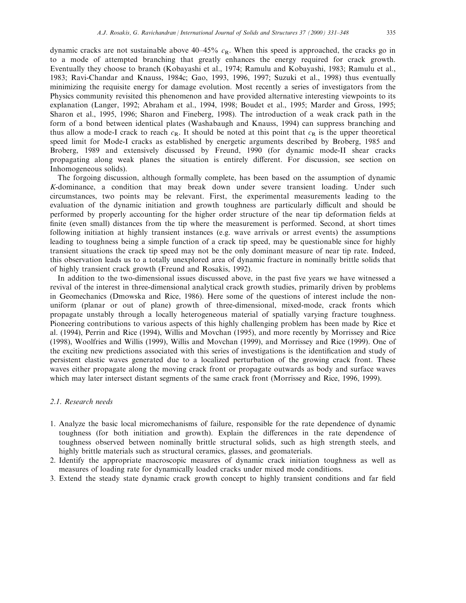dynamic cracks are not sustainable above  $40-45\%$  c<sub>R</sub>. When this speed is approached, the cracks go in to a mode of attempted branching that greatly enhances the energy required for crack growth. Eventually they choose to branch (Kobayashi et al., 1974; Ramulu and Kobayashi, 1983; Ramulu et al., 1983; Ravi-Chandar and Knauss, 1984c; Gao, 1993, 1996, 1997; Suzuki et al., 1998) thus eventually minimizing the requisite energy for damage evolution. Most recently a series of investigators from the Physics community revisited this phenomenon and have provided alternative interesting viewpoints to its explanation (Langer, 1992; Abraham et al., 1994, 1998; Boudet et al., 1995; Marder and Gross, 1995; Sharon et al., 1995, 1996; Sharon and Fineberg, 1998). The introduction of a weak crack path in the form of a bond between identical plates (Washabaugh and Knauss, 1994) can suppress branching and thus allow a mode-I crack to reach  $c_R$ . It should be noted at this point that  $c_R$  is the upper theoretical speed limit for Mode-I cracks as established by energetic arguments described by Broberg, 1985 and Broberg, 1989 and extensively discussed by Freund, 1990 (for dynamic mode-II shear cracks propagating along weak planes the situation is entirely different. For discussion, see section on Inhomogeneous solids).

The forgoing discussion, although formally complete, has been based on the assumption of dynamic K-dominance, a condition that may break down under severe transient loading. Under such circumstances, two points may be relevant. First, the experimental measurements leading to the evaluation of the dynamic initiation and growth toughness are particularly difficult and should be performed by properly accounting for the higher order structure of the near tip deformation fields at finite (even small) distances from the tip where the measurement is performed. Second, at short times following initiation at highly transient instances (e.g. wave arrivals or arrest events) the assumptions leading to toughness being a simple function of a crack tip speed, may be questionable since for highly transient situations the crack tip speed may not be the only dominant measure of near tip rate. Indeed, this observation leads us to a totally unexplored area of dynamic fracture in nominally brittle solids that of highly transient crack growth (Freund and Rosakis, 1992).

In addition to the two-dimensional issues discussed above, in the past five years we have witnessed a revival of the interest in three-dimensional analytical crack growth studies, primarily driven by problems in Geomechanics (Dmowska and Rice, 1986). Here some of the questions of interest include the nonuniform (planar or out of plane) growth of three-dimensional, mixed-mode, crack fronts which propagate unstably through a locally heterogeneous material of spatially varying fracture toughness. Pioneering contributions to various aspects of this highly challenging problem has been made by Rice et al. (1994), Perrin and Rice (1994), Willis and Movchan (1995), and more recently by Morrissey and Rice (1998), Woolfries and Willis (1999), Willis and Movchan (1999), and Morrissey and Rice (1999). One of the exciting new predictions associated with this series of investigations is the identification and study of persistent elastic waves generated due to a localized perturbation of the growing crack front. These waves either propagate along the moving crack front or propagate outwards as body and surface waves which may later intersect distant segments of the same crack front (Morrissey and Rice, 1996, 1999).

## 2.1. Research needs

- 1. Analyze the basic local micromechanisms of failure, responsible for the rate dependence of dynamic toughness (for both initiation and growth). Explain the dierences in the rate dependence of toughness observed between nominally brittle structural solids, such as high strength steels, and highly brittle materials such as structural ceramics, glasses, and geomaterials.
- 2. Identify the appropriate macroscopic measures of dynamic crack initiation toughness as well as measures of loading rate for dynamically loaded cracks under mixed mode conditions.
- 3. Extend the steady state dynamic crack growth concept to highly transient conditions and far field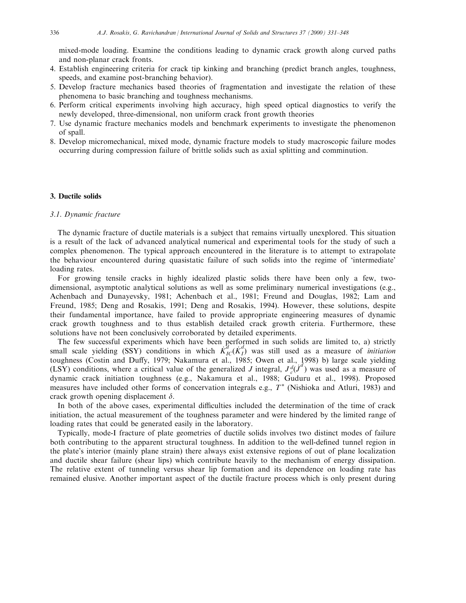mixed-mode loading. Examine the conditions leading to dynamic crack growth along curved paths and non-planar crack fronts.

- 4. Establish engineering criteria for crack tip kinking and branching (predict branch angles, toughness, speeds, and examine post-branching behavior).
- 5. Develop fracture mechanics based theories of fragmentation and investigate the relation of these phenomena to basic branching and toughness mechanisms.
- 6. Perform critical experiments involving high accuracy, high speed optical diagnostics to verify the newly developed, three-dimensional, non uniform crack front growth theories
- 7. Use dynamic fracture mechanics models and benchmark experiments to investigate the phenomenon of spall.
- 8. Develop micromechanical, mixed mode, dynamic fracture models to study macroscopic failure modes occurring during compression failure of brittle solids such as axial splitting and comminution.

#### 3. Ductile solids

#### 3.1. Dynamic fracture

The dynamic fracture of ductile materials is a subject that remains virtually unexplored. This situation is a result of the lack of advanced analytical numerical and experimental tools for the study of such a complex phenomenon. The typical approach encountered in the literature is to attempt to extrapolate the behaviour encountered during quasistatic failure of such solids into the regime of `intermediate' loading rates.

For growing tensile cracks in highly idealized plastic solids there have been only a few, twodimensional, asymptotic analytical solutions as well as some preliminary numerical investigations (e.g., Achenbach and Dunayevsky, 1981; Achenbach et al., 1981; Freund and Douglas, 1982; Lam and Freund, 1985; Deng and Rosakis, 1991; Deng and Rosakis, 1994). However, these solutions, despite their fundamental importance, have failed to provide appropriate engineering measures of dynamic crack growth toughness and to thus establish detailed crack growth criteria. Furthermore, these solutions have not been conclusively corroborated by detailed experiments.

The few successful experiments which have been performed in such solids are limited to, a) strictly small scale yielding (SSY) conditions in which  $\dot{K}_{IC}^d(\dot{K}_I)$  was still used as a measure of *initiation* toughness (Costin and Duffy, 1979; Nakamura et al., 1985; Owen et al., 1998) b) large scale yielding (LSY) conditions, where a critical value of the generalized J integral,  $J_c^d(j^d)$  was used as a measure of dynamic crack initiation toughness (e.g., Nakamura et al., 1988; Guduru et al., 1998). Proposed measures have included other forms of concervation integrals e.g.,  $T^*$  (Nishioka and Atluri, 1983) and crack growth opening displacement  $\delta$ .

In both of the above cases, experimental difficulties included the determination of the time of crack initiation, the actual measurement of the toughness parameter and were hindered by the limited range of loading rates that could be generated easily in the laboratory.

Typically, mode-I fracture of plate geometries of ductile solids involves two distinct modes of failure both contributing to the apparent structural toughness. In addition to the well-defined tunnel region in the plate's interior (mainly plane strain) there always exist extensive regions of out of plane localization and ductile shear failure (shear lips) which contribute heavily to the mechanism of energy dissipation. The relative extent of tunneling versus shear lip formation and its dependence on loading rate has remained elusive. Another important aspect of the ductile fracture process which is only present during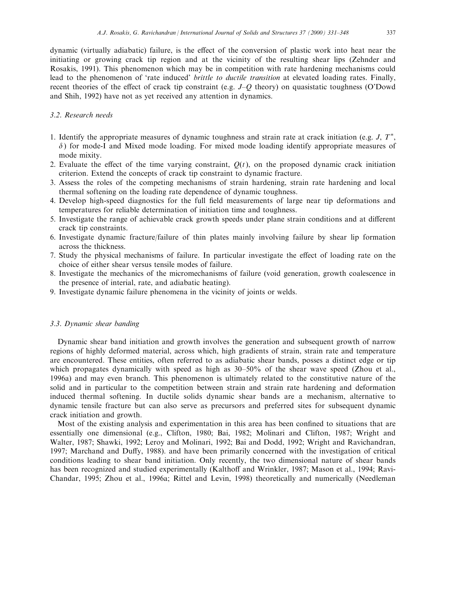dynamic (virtually adiabatic) failure, is the effect of the conversion of plastic work into heat near the initiating or growing crack tip region and at the vicinity of the resulting shear lips (Zehnder and Rosakis, 1991). This phenomenon which may be in competition with rate hardening mechanisms could lead to the phenomenon of 'rate induced' *brittle to ductile transition* at elevated loading rates. Finally, recent theories of the effect of crack tip constraint (e.g.  $J-Q$  theory) on quasistatic toughness (O'Dowd and Shih, 1992) have not as yet received any attention in dynamics.

## 3.2. Research needs

- 1. Identify the appropriate measures of dynamic toughness and strain rate at crack initiation (e.g.  $J, T^*$ ,  $\delta$ ) for mode-I and Mixed mode loading. For mixed mode loading identify appropriate measures of mode mixity.
- 2. Evaluate the effect of the time varying constraint,  $O(t)$ , on the proposed dynamic crack initiation criterion. Extend the concepts of crack tip constraint to dynamic fracture.
- 3. Assess the roles of the competing mechanisms of strain hardening, strain rate hardening and local thermal softening on the loading rate dependence of dynamic toughness.
- 4. Develop high-speed diagnostics for the full field measurements of large near tip deformations and temperatures for reliable determination of initiation time and toughness.
- 5. Investigate the range of achievable crack growth speeds under plane strain conditions and at different crack tip constraints.
- 6. Investigate dynamic fracture/failure of thin plates mainly involving failure by shear lip formation across the thickness.
- 7. Study the physical mechanisms of failure. In particular investigate the effect of loading rate on the choice of either shear versus tensile modes of failure.
- 8. Investigate the mechanics of the micromechanisms of failure (void generation, growth coalescence in the presence of interial, rate, and adiabatic heating).
- 9. Investigate dynamic failure phenomena in the vicinity of joints or welds.

#### 3.3. Dynamic shear banding

Dynamic shear band initiation and growth involves the generation and subsequent growth of narrow regions of highly deformed material, across which, high gradients of strain, strain rate and temperature are encountered. These entities, often referred to as adiabatic shear bands, posses a distinct edge or tip which propagates dynamically with speed as high as  $30-50\%$  of the shear wave speed (Zhou et al., 1996a) and may even branch. This phenomenon is ultimately related to the constitutive nature of the solid and in particular to the competition between strain and strain rate hardening and deformation induced thermal softening. In ductile solids dynamic shear bands are a mechanism, alternative to dynamic tensile fracture but can also serve as precursors and preferred sites for subsequent dynamic crack initiation and growth.

Most of the existing analysis and experimentation in this area has been confined to situations that are essentially one dimensional (e.g., Clifton, 1980; Bai, 1982; Molinari and Clifton, 1987; Wright and Walter, 1987; Shawki, 1992; Leroy and Molinari, 1992; Bai and Dodd, 1992; Wright and Ravichandran, 1997; Marchand and Duffy, 1988). and have been primarily concerned with the investigation of critical conditions leading to shear band initiation. Only recently, the two dimensional nature of shear bands has been recognized and studied experimentally (Kalthoff and Wrinkler, 1987; Mason et al., 1994; Ravi-Chandar, 1995; Zhou et al., 1996a; Rittel and Levin, 1998) theoretically and numerically (Needleman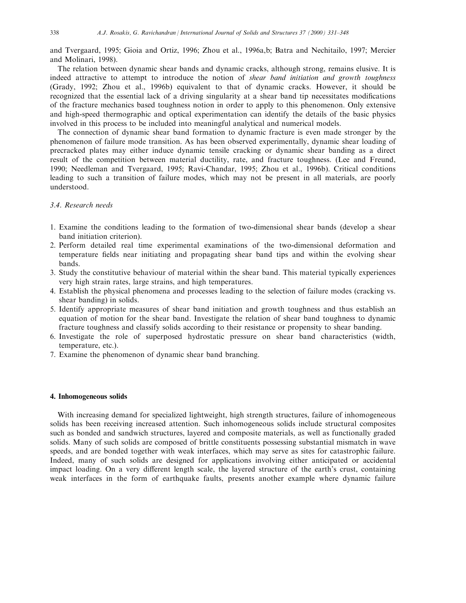and Tvergaard, 1995; Gioia and Ortiz, 1996; Zhou et al., 1996a,b; Batra and Nechitailo, 1997; Mercier and Molinari, 1998).

The relation between dynamic shear bands and dynamic cracks, although strong, remains elusive. It is indeed attractive to attempt to introduce the notion of shear band initiation and growth toughness (Grady, 1992; Zhou et al., 1996b) equivalent to that of dynamic cracks. However, it should be recognized that the essential lack of a driving singularity at a shear band tip necessitates modifications of the fracture mechanics based toughness notion in order to apply to this phenomenon. Only extensive and high-speed thermographic and optical experimentation can identify the details of the basic physics involved in this process to be included into meaningful analytical and numerical models.

The connection of dynamic shear band formation to dynamic fracture is even made stronger by the phenomenon of failure mode transition. As has been observed experimentally, dynamic shear loading of precracked plates may either induce dynamic tensile cracking or dynamic shear banding as a direct result of the competition between material ductility, rate, and fracture toughness. (Lee and Freund, 1990; Needleman and Tvergaard, 1995; Ravi-Chandar, 1995; Zhou et al., 1996b). Critical conditions leading to such a transition of failure modes, which may not be present in all materials, are poorly understood.

# 3.4. Research needs

- 1. Examine the conditions leading to the formation of two-dimensional shear bands (develop a shear band initiation criterion).
- 2. Perform detailed real time experimental examinations of the two-dimensional deformation and temperature fields near initiating and propagating shear band tips and within the evolving shear bands.
- 3. Study the constitutive behaviour of material within the shear band. This material typically experiences very high strain rates, large strains, and high temperatures.
- 4. Establish the physical phenomena and processes leading to the selection of failure modes (cracking vs. shear banding) in solids.
- 5. Identify appropriate measures of shear band initiation and growth toughness and thus establish an equation of motion for the shear band. Investigate the relation of shear band toughness to dynamic fracture toughness and classify solids according to their resistance or propensity to shear banding.
- 6. Investigate the role of superposed hydrostatic pressure on shear band characteristics (width, temperature, etc.).
- 7. Examine the phenomenon of dynamic shear band branching.

## 4. Inhomogeneous solids

With increasing demand for specialized lightweight, high strength structures, failure of inhomogeneous solids has been receiving increased attention. Such inhomogeneous solids include structural composites such as bonded and sandwich structures, layered and composite materials, as well as functionally graded solids. Many of such solids are composed of brittle constituents possessing substantial mismatch in wave speeds, and are bonded together with weak interfaces, which may serve as sites for catastrophic failure. Indeed, many of such solids are designed for applications involving either anticipated or accidental impact loading. On a very different length scale, the layered structure of the earth's crust, containing weak interfaces in the form of earthquake faults, presents another example where dynamic failure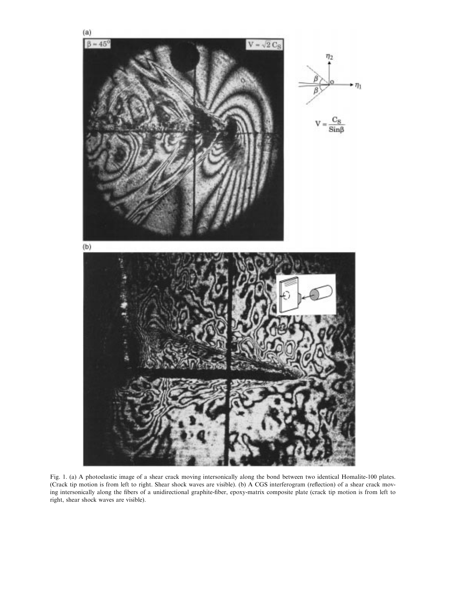

Fig. 1. (a) A photoelastic image of a shear crack moving intersonically along the bond between two identical Homalite-100 plates. (Crack tip motion is from left to right. Shear shock waves are visible). (b) A CGS interferogram (reflection) of a shear crack moving intersonically along the fibers of a unidirectional graphite-fiber, epoxy-matrix composite plate (crack tip motion is from left to right, shear shock waves are visible).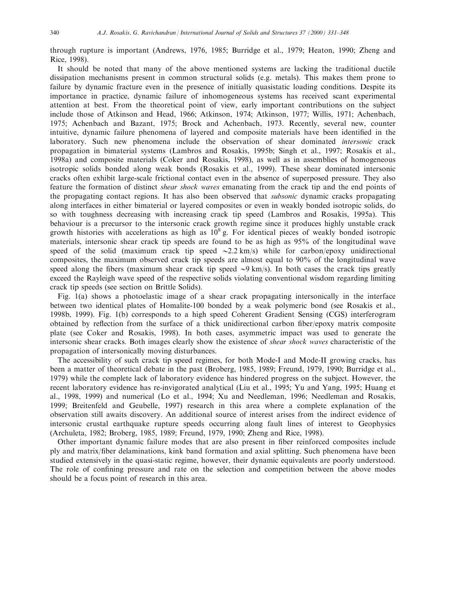through rupture is important (Andrews, 1976, 1985; Burridge et al., 1979; Heaton, 1990; Zheng and Rice, 1998).

It should be noted that many of the above mentioned systems are lacking the traditional ductile dissipation mechanisms present in common structural solids (e.g. metals). This makes them prone to failure by dynamic fracture even in the presence of initially quasistatic loading conditions. Despite its importance in practice, dynamic failure of inhomogeneous systems has received scant experimental attention at best. From the theoretical point of view, early important contributions on the subject include those of Atkinson and Head, 1966; Atkinson, 1974; Atkinson, 1977; Willis, 1971; Achenbach, 1975; Achenbach and Bazant, 1975; Brock and Achenbach, 1973. Recently, several new, counter intuitive, dynamic failure phenomena of layered and composite materials have been identified in the laboratory. Such new phenomena include the observation of shear dominated intersonic crack propagation in bimaterial systems (Lambros and Rosakis, 1995b; Singh et al., 1997; Rosakis et al., 1998a) and composite materials (Coker and Rosakis, 1998), as well as in assemblies of homogeneous isotropic solids bonded along weak bonds (Rosakis et al., 1999). These shear dominated intersonic cracks often exhibit large-scale frictional contact even in the absence of superposed pressure. They also feature the formation of distinct shear shock waves emanating from the crack tip and the end points of the propagating contact regions. It has also been observed that subsonic dynamic cracks propagating along interfaces in either bimaterial or layered composites or even in weakly bonded isotropic solids, do so with toughness decreasing with increasing crack tip speed (Lambros and Rosakis, 1995a). This behaviour is a precursor to the intersonic crack growth regime since it produces highly unstable crack growth histories with accelerations as high as  $10^8$  g. For identical pieces of weakly bonded isotropic materials, intersonic shear crack tip speeds are found to be as high as 95% of the longitudinal wave speed of the solid (maximum crack tip speed  $\sim$  2.2 km/s) while for carbon/epoxy unidirectional composites, the maximum observed crack tip speeds are almost equal to 90% of the longitudinal wave speed along the fibers (maximum shear crack tip speed  $\sim$ 9 km/s). In both cases the crack tips greatly exceed the Rayleigh wave speed of the respective solids violating conventional wisdom regarding limiting crack tip speeds (see section on Brittle Solids).

Fig. 1(a) shows a photoelastic image of a shear crack propagating intersonically in the interface between two identical plates of Homalite-100 bonded by a weak polymeric bond (see Rosakis et al., 1998b, 1999). Fig. 1(b) corresponds to a high speed Coherent Gradient Sensing (CGS) interferogram obtained by reflection from the surface of a thick unidirectional carbon fiber/epoxy matrix composite plate (see Coker and Rosakis, 1998). In both cases, asymmetric impact was used to generate the intersonic shear cracks. Both images clearly show the existence of shear shock waves characteristic of the propagation of intersonically moving disturbances.

The accessibility of such crack tip speed regimes, for both Mode-I and Mode-II growing cracks, has been a matter of theoretical debate in the past (Broberg, 1985, 1989; Freund, 1979, 1990; Burridge et al., 1979) while the complete lack of laboratory evidence has hindered progress on the subject. However, the recent laboratory evidence has re-invigorated analytical (Liu et al., 1995; Yu and Yang, 1995; Huang et al., 1998, 1999) and numerical (Lo et al., 1994; Xu and Needleman, 1996; Needleman and Rosakis, 1999; Breitenfeld and Geubelle, 1997) research in this area where a complete explanation of the observation still awaits discovery. An additional source of interest arises from the indirect evidence of intersonic crustal earthquake rupture speeds occurring along fault lines of interest to Geophysics (Archuleta, 1982; Broberg, 1985, 1989; Freund, 1979, 1990; Zheng and Rice, 1998).

Other important dynamic failure modes that are also present in fiber reinforced composites include ply and matrix/fiber delaminations, kink band formation and axial splitting. Such phenomena have been studied extensively in the quasi-static regime, however, their dynamic equivalents are poorly understood. The role of confining pressure and rate on the selection and competition between the above modes should be a focus point of research in this area.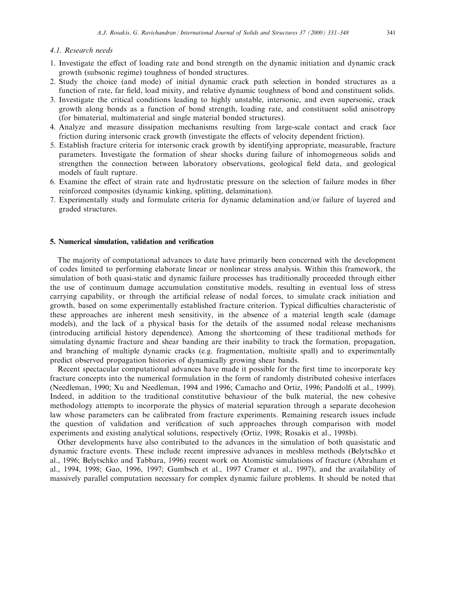## 4.1. Research needs

- 1. Investigate the effect of loading rate and bond strength on the dynamic initiation and dynamic crack growth (subsonic regime) toughness of bonded structures.
- 2. Study the choice (and mode) of initial dynamic crack path selection in bonded structures as a function of rate, far field, load mixity, and relative dynamic toughness of bond and constituent solids.
- 3. Investigate the critical conditions leading to highly unstable, intersonic, and even supersonic, crack growth along bonds as a function of bond strength, loading rate, and constituent solid anisotropy (for bimaterial, multimaterial and single material bonded structures).
- 4. Analyze and measure dissipation mechanisms resulting from large-scale contact and crack face friction during intersonic crack growth (investigate the effects of velocity dependent friction).
- 5. Establish fracture criteria for intersonic crack growth by identifying appropriate, measurable, fracture parameters. Investigate the formation of shear shocks during failure of inhomogeneous solids and strengthen the connection between laboratory observations, geological field data, and geological models of fault rupture.
- 6. Examine the effect of strain rate and hydrostatic pressure on the selection of failure modes in fiber reinforced composites (dynamic kinking, splitting, delamination).
- 7. Experimentally study and formulate criteria for dynamic delamination and/or failure of layered and graded structures.

#### 5. Numerical simulation, validation and verification

The majority of computational advances to date have primarily been concerned with the development of codes limited to performing elaborate linear or nonlinear stress analysis. Within this framework, the simulation of both quasi-static and dynamic failure processes has traditionally proceeded through either the use of continuum damage accumulation constitutive models, resulting in eventual loss of stress carrying capability, or through the artificial release of nodal forces, to simulate crack initiation and growth, based on some experimentally established fracture criterion. Typical difficulties characteristic of these approaches are inherent mesh sensitivity, in the absence of a material length scale (damage models), and the lack of a physical basis for the details of the assumed nodal release mechanisms (introducing artificial history dependence). Among the shortcoming of these traditional methods for simulating dynamic fracture and shear banding are their inability to track the formation, propagation, and branching of multiple dynamic cracks (e.g. fragmentation, multisite spall) and to experimentally predict observed propagation histories of dynamically growing shear bands.

Recent spectacular computational advances have made it possible for the first time to incorporate key fracture concepts into the numerical formulation in the form of randomly distributed cohesive interfaces (Needleman, 1990; Xu and Needleman, 1994 and 1996; Camacho and Ortiz, 1996; Pandolfi et al., 1999). Indeed, in addition to the traditional constitutive behaviour of the bulk material, the new cohesive methodology attempts to incorporate the physics of material separation through a separate decohesion law whose parameters can be calibrated from fracture experiments. Remaining research issues include the question of validation and verification of such approaches through comparison with model experiments and existing analytical solutions, respectively (Ortiz, 1998; Rosakis et al., 1998b).

Other developments have also contributed to the advances in the simulation of both quasistatic and dynamic fracture events. These include recent impressive advances in meshless methods (Belytschko et al., 1996; Belytschko and Tabbara, 1996) recent work on Atomistic simulations of fracture (Abraham et al., 1994, 1998; Gao, 1996, 1997; Gumbsch et al., 1997 Cramer et al., 1997), and the availability of massively parallel computation necessary for complex dynamic failure problems. It should be noted that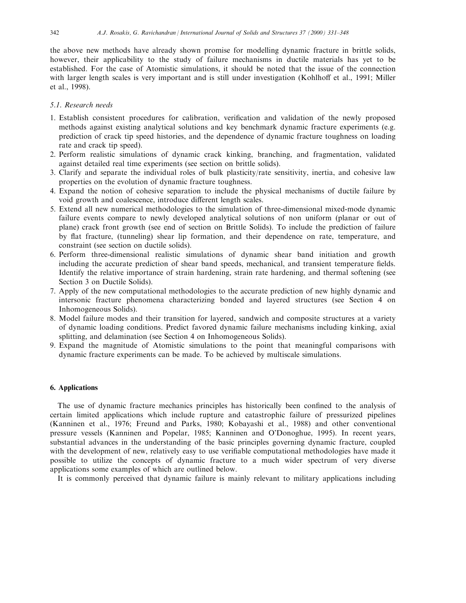the above new methods have already shown promise for modelling dynamic fracture in brittle solids, however, their applicability to the study of failure mechanisms in ductile materials has yet to be established. For the case of Atomistic simulations, it should be noted that the issue of the connection with larger length scales is very important and is still under investigation (Kohlhoff et al., 1991; Miller et al., 1998).

# 5.1. Research needs

- 1. Establish consistent procedures for calibration, verification and validation of the newly proposed methods against existing analytical solutions and key benchmark dynamic fracture experiments (e.g. prediction of crack tip speed histories, and the dependence of dynamic fracture toughness on loading rate and crack tip speed).
- 2. Perform realistic simulations of dynamic crack kinking, branching, and fragmentation, validated against detailed real time experiments (see section on brittle solids).
- 3. Clarify and separate the individual roles of bulk plasticity/rate sensitivity, inertia, and cohesive law properties on the evolution of dynamic fracture toughness.
- 4. Expand the notion of cohesive separation to include the physical mechanisms of ductile failure by void growth and coalescence, introduce different length scales.
- 5. Extend all new numerical methodologies to the simulation of three-dimensional mixed-mode dynamic failure events compare to newly developed analytical solutions of non uniform (planar or out of plane) crack front growth (see end of section on Brittle Solids). To include the prediction of failure by flat fracture, (tunneling) shear lip formation, and their dependence on rate, temperature, and constraint (see section on ductile solids).
- 6. Perform three-dimensional realistic simulations of dynamic shear band initiation and growth including the accurate prediction of shear band speeds, mechanical, and transient temperature fields. Identify the relative importance of strain hardening, strain rate hardening, and thermal softening (see Section 3 on Ductile Solids).
- 7. Apply of the new computational methodologies to the accurate prediction of new highly dynamic and intersonic fracture phenomena characterizing bonded and layered structures (see Section 4 on Inhomogeneous Solids).
- 8. Model failure modes and their transition for layered, sandwich and composite structures at a variety of dynamic loading conditions. Predict favored dynamic failure mechanisms including kinking, axial splitting, and delamination (see Section 4 on Inhomogeneous Solids).
- 9. Expand the magnitude of Atomistic simulations to the point that meaningful comparisons with dynamic fracture experiments can be made. To be achieved by multiscale simulations.

## 6. Applications

The use of dynamic fracture mechanics principles has historically been confined to the analysis of certain limited applications which include rupture and catastrophic failure of pressurized pipelines (Kanninen et al., 1976; Freund and Parks, 1980; Kobayashi et al., 1988) and other conventional pressure vessels (Kanninen and Popelar, 1985; Kanninen and O'Donoghue, 1995). In recent years, substantial advances in the understanding of the basic principles governing dynamic fracture, coupled with the development of new, relatively easy to use verifiable computational methodologies have made it possible to utilize the concepts of dynamic fracture to a much wider spectrum of very diverse applications some examples of which are outlined below.

It is commonly perceived that dynamic failure is mainly relevant to military applications including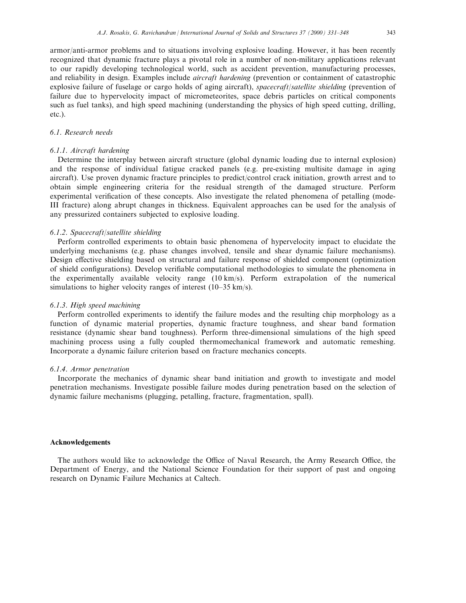armor/anti-armor problems and to situations involving explosive loading. However, it has been recently recognized that dynamic fracture plays a pivotal role in a number of non-military applications relevant to our rapidly developing technological world, such as accident prevention, manufacturing processes, and reliability in design. Examples include aircraft hardening (prevention or containment of catastrophic explosive failure of fuselage or cargo holds of aging aircraft), spacecraft/satellite shielding (prevention of failure due to hypervelocity impact of micrometeorites, space debris particles on critical components such as fuel tanks), and high speed machining (understanding the physics of high speed cutting, drilling, etc.).

# 6.1. Research needs

## 6.1.1. Aircraft hardening

Determine the interplay between aircraft structure (global dynamic loading due to internal explosion) and the response of individual fatigue cracked panels (e.g. pre-existing multisite damage in aging aircraft). Use proven dynamic fracture principles to predict/control crack initiation, growth arrest and to obtain simple engineering criteria for the residual strength of the damaged structure. Perform experimental verification of these concepts. Also investigate the related phenomena of petalling (mode-III fracture) along abrupt changes in thickness. Equivalent approaches can be used for the analysis of any pressurized containers subjected to explosive loading.

## 6.1.2. Spacecraft/satellite shielding

Perform controlled experiments to obtain basic phenomena of hypervelocity impact to elucidate the underlying mechanisms (e.g. phase changes involved, tensile and shear dynamic failure mechanisms). Design effective shielding based on structural and failure response of shielded component (optimization of shield configurations). Develop verifiable computational methodologies to simulate the phenomena in the experimentally available velocity range (10 km/s). Perform extrapolation of the numerical simulations to higher velocity ranges of interest  $(10-35 \text{ km/s})$ .

#### 6.1.3. High speed machining

Perform controlled experiments to identify the failure modes and the resulting chip morphology as a function of dynamic material properties, dynamic fracture toughness, and shear band formation resistance (dynamic shear band toughness). Perform three-dimensional simulations of the high speed machining process using a fully coupled thermomechanical framework and automatic remeshing. Incorporate a dynamic failure criterion based on fracture mechanics concepts.

#### 6.1.4. Armor penetration

Incorporate the mechanics of dynamic shear band initiation and growth to investigate and model penetration mechanisms. Investigate possible failure modes during penetration based on the selection of dynamic failure mechanisms (plugging, petalling, fracture, fragmentation, spall).

#### Acknowledgements

The authors would like to acknowledge the Office of Naval Research, the Army Research Office, the Department of Energy, and the National Science Foundation for their support of past and ongoing research on Dynamic Failure Mechanics at Caltech.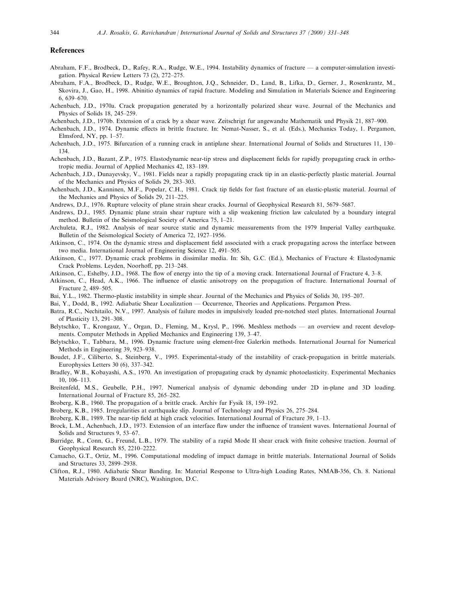#### References

- Abraham, F.F., Brodbeck, D., Rafey, R.A., Rudge, W.E., 1994. Instability dynamics of fracture a computer-simulation investigation. Physical Review Letters  $73$   $(2)$ ,  $272-275$ .
- Abraham, F.A., Brodbeck, D., Rudge, W.E., Broughton, J.Q., Schneider, D., Land, B., Lifka, D., Gerner, J., Rosenkrantz, M., Skovira, J., Gao, H., 1998. Abinitio dynamics of rapid fracture. Modeling and Simulation in Materials Science and Engineering  $6,639-670.$
- Achenbach, J.D., 1970a. Crack propagation generated by a horizontally polarized shear wave. Journal of the Mechanics and Physics of Solids 18, 245-259.
- Achenbach, J.D., 1970b. Extension of a crack by a shear wave. Zeitschrigt fur angewandte Mathematik und Physik 21, 887-900.
- Achenbach, J.D., 1974. Dynamic effects in brittle fracture. In: Nemat-Nasser, S., et al. (Eds.), Mechanics Today, 1. Pergamon, Elmsford, NY, pp.  $1-57$ .
- Achenbach, J.D., 1975. Bifurcation of a running crack in antiplane shear. International Journal of Solids and Structures 11, 130± 134.
- Achenbach, J.D., Bazant, Z.P., 1975. Elastodynamic near-tip stress and displacement fields for rapidly propagating crack in orthotropic media. Journal of Applied Mechanics 42, 183-189.
- Achenbach, J.D., Dunayevsky, V., 1981. Fields near a rapidly propagating crack tip in an elastic-perfectly plastic material. Journal of the Mechanics and Physics of Solids 29, 283-303.
- Achenbach, J.D., Kanninen, M.F., Popelar, C.H., 1981. Crack tip fields for fast fracture of an elastic-plastic material. Journal of the Mechanics and Physics of Solids 29, 211-225.
- Andrews, D.J., 1976. Rupture velocity of plane strain shear cracks. Journal of Geophysical Research 81, 5679-5687.
- Andrews, D.J., 1985. Dynamic plane strain shear rupture with a slip weakening friction law calculated by a boundary integral method. Bulletin of the Seismological Society of America 75, 1-21.
- Archuleta, R.J., 1982. Analysis of near source static and dynamic measurements from the 1979 Imperial Valley earthquake. Bulletin of the Seismological Society of America 72, 1927-1956.
- Atkinson, C., 1974. On the dynamic stress and displacement field associated with a crack propagating across the interface between two media. International Journal of Engineering Science 12, 491-505.
- Atkinson, C., 1977. Dynamic crack problems in dissimilar media. In: Sih, G.C. (Ed.), Mechanics of Fracture 4: Elastodynamic Crack Problems. Leyden, Noorhoff, pp. 213-248.
- Atkinson, C., Eshelby, J.D., 1968. The flow of energy into the tip of a moving crack. International Journal of Fracture 4, 3-8.
- Atkinson, C., Head, A.K., 1966. The influence of elastic anisotropy on the propagation of fracture. International Journal of Fracture 2, 489-505.
- Bai, Y.L., 1982. Thermo-plastic instability in simple shear. Journal of the Mechanics and Physics of Solids 30, 195-207.
- Bai, Y., Dodd, B., 1992. Adiabatic Shear Localization Occurrence, Theories and Applications. Pergamon Press.
- Batra, R.C., Nechitailo, N.V., 1997. Analysis of failure modes in impulsively loaded pre-notched steel plates. International Journal of Plasticity 13, 291-308.
- Belytschko, T., Krongauz, Y., Organ, D., Fleming, M., Krysl, P., 1996. Meshless methods an overview and recent developments. Computer Methods in Applied Mechanics and Engineering 139, 3-47.
- Belytschko, T., Tabbara, M., 1996. Dynamic fracture using element-free Galerkin methods. International Journal for Numerical Methods in Engineering 39, 923–938.
- Boudet, J.F., Ciliberto, S., Steinberg, V., 1995. Experimental-study of the instability of crack-propagation in brittle materials. Europhysics Letters 30  $(6)$ , 337-342.
- Bradley, W.B., Kobayashi, A.S., 1970. An investigation of propagating crack by dynamic photoelasticity. Experimental Mechanics 10, 106±113.
- Breitenfeld, M.S., Geubelle, P.H., 1997. Numerical analysis of dynamic debonding under 2D in-plane and 3D loading. International Journal of Fracture 85, 265–282.
- Broberg, K.B., 1960. The propagation of a brittle crack. Archiv fur Fysik 18, 159-192.
- Broberg, K.B., 1985. Irregularities at earthquake slip. Journal of Technology and Physics 26, 275-284.
- Broberg, K.B., 1989. The near-tip field at high crack velocities. International Journal of Fracture 39, 1–13.
- Brock, L.M., Achenbach, J.D., 1973. Extension of an interface flaw under the influence of transient waves. International Journal of Solids and Structures 9, 53–67.
- Burridge, R., Conn, G., Freund, L.B., 1979. The stability of a rapid Mode II shear crack with finite cohesive traction. Journal of Geophysical Research 85, 2210-2222.
- Camacho, G.T., Ortiz, M., 1996. Computational modeling of impact damage in brittle materials. International Journal of Solids and Structures 33, 2899-2938.
- Clifton, R.J., 1980. Adiabatic Shear Banding. In: Material Response to Ultra-high Loading Rates, NMAB-356, Ch. 8. National Materials Advisory Board (NRC), Washington, D.C.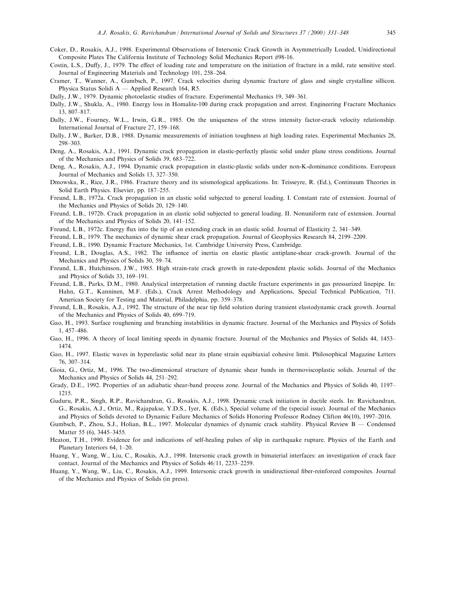- Coker, D., Rosakis, A.J., 1998. Experimental Observations of Intersonic Crack Growth in Asymmetrically Loaded, Unidirectional Composite Plates The California Institute of Technology Solid Mechanics Report #98-16.
- Costin, L.S., Duffy, J., 1979. The effect of loading rate and temperature on the initiation of fracture in a mild, rate sensitive steel. Journal of Engineering Materials and Technology 101, 258-264.
- Cramer, T., Wanner, A., Gumbsch, P., 1997. Crack velocities during dynamic fracture of glass and single crystalline sillicon. Physica Status Solidi A  $-$  Applied Research 164, R5.
- Dally, J.W., 1979. Dynamic photoelastic studies of fracture. Experimental Mechanics 19, 349-361.
- Dally, J.W., Shukla, A., 1980. Energy loss in Homalite-100 during crack propagation and arrest. Engineering Fracture Mechanics 13, 807±817.
- Dally, J.W., Fourney, W.L., Irwin, G.R., 1985. On the uniqueness of the stress intensity factor-crack velocity relationship. International Journal of Fracture 27, 159-168.
- Dally, J.W., Barker, D.B., 1988. Dynamic measurements of initiation toughness at high loading rates. Experimental Mechanics 28, 298±303.
- Deng, A., Rosakis, A.J., 1991. Dynamic crack propagation in elastic-perfectly plastic solid under plane stress conditions. Journal of the Mechanics and Physics of Solids 39, 683-722.
- Deng, A., Rosakis, A.J., 1994. Dynamic crack propagation in elastic-plastic solids under non-K-dominance conditions. European Journal of Mechanics and Solids 13, 327-350.
- Dmowska, R., Rice, J.R., 1986. Fracture theory and its seismological applications. In: Teisseyre, R. (Ed.), Continuum Theories in Solid Earth Physics. Elsevier, pp. 187-255.
- Freund, L.B., 1972a. Crack propagation in an elastic solid subjected to general loading. I. Constant rate of extension. Journal of the Mechanics and Physics of Solids 20, 129-140.
- Freund, L.B., 1972b. Crack propagation in an elastic solid subjected to general loading. II. Nonuniform rate of extension. Journal of the Mechanics and Physics of Solids 20, 141-152.
- Freund, L.B., 1972c. Energy flux into the tip of an extending crack in an elastic solid. Journal of Elasticity 2, 341–349.
- Freund, L.B., 1979. The mechanics of dynamic shear crack propagation. Journal of Geophysics Research 84, 2199–2209.
- Freund, L.B., 1990. Dynamic Fracture Mechanics, 1st. Cambridge University Press, Cambridge.
- Freund, L.B., Douglas, A.S., 1982. The influence of inertia on elastic plastic antiplane-shear crack-growth. Journal of the Mechanics and Physics of Solids 30, 59-74.
- Freund, L.B., Hutchinson, J.W., 1985. High strain-rate crack growth in rate-dependent plastic solids. Journal of the Mechanics and Physics of Solids 33, 169-191.
- Freund, L.B., Parks, D.M., 1980. Analytical interpretation of running ductile fracture experiments in gas pressurized linepipe. In: Hahn, G.T., Kanninen, M.F. (Eds.), Crack Arrest Methodology and Applications, Special Technical Publication, 711. American Society for Testing and Material, Philadelphia, pp. 359–378.
- Freund, L.B., Rosakis, A.J., 1992. The structure of the near tip field solution during transient elastodynamic crack growth. Journal of the Mechanics and Physics of Solids 40, 699-719.
- Gao, H., 1993. Surface roughening and branching instabilities in dynamic fracture. Journal of the Mechanics and Physics of Solids 1, 457-486.
- Gao, H., 1996. A theory of local limiting speeds in dynamic fracture. Journal of the Mechanics and Physics of Solids 44, 1453– 1474.
- Gao, H., 1997. Elastic waves in hyperelastic solid near its plane strain equibiaxial cohesive limit. Philosophical Magazine Letters 76, 307±314.
- Gioia, G., Ortiz, M., 1996. The two-dimensional structure of dynamic shear bands in thermoviscoplastic solids. Journal of the Mechanics and Physics of Solids 44, 251-292.
- Grady, D.E., 1992. Properties of an adiabatic shear-band process zone. Journal of the Mechanics and Physics of Solids 40, 1197-1215.
- Guduru, P.R., Singh, R.P., Ravichandran, G., Rosakis, A.J., 1998. Dynamic crack initiation in ductile steels. In: Ravichandran, G., Rosakis, A.J., Ortiz, M., Rajapakse, Y.D.S., Iyer, K. (Eds.), Special volume of the (special issue). Journal of the Mechanics and Physics of Solids devoted to Dynamic Failure Mechanics of Solids Honoring Professor Rodney Clifton 46(10), 1997–2016.
- Gumbsch, P., Zhou, S.J., Holian, B.L., 1997. Molecular dynamics of dynamic crack stability. Physical Review B Condensed Matter 55 (6), 3445-3455.
- Heaton, T.H., 1990. Evidence for and indications of self-healing pulses of slip in earthquake rupture. Physics of the Earth and Planetary Interiors 64, 1–20.
- Huang, Y., Wang, W., Liu, C., Rosakis, A.J., 1998. Intersonic crack growth in bimaterial interfaces: an investigation of crack face contact. Journal of the Mechanics and Physics of Solids 46/11, 2233-2259.
- Huang, Y., Wang, W., Liu, C., Rosakis, A.J., 1999. Intersonic crack growth in unidirectional fiber-reinforced composites. Journal of the Mechanics and Physics of Solids (in press).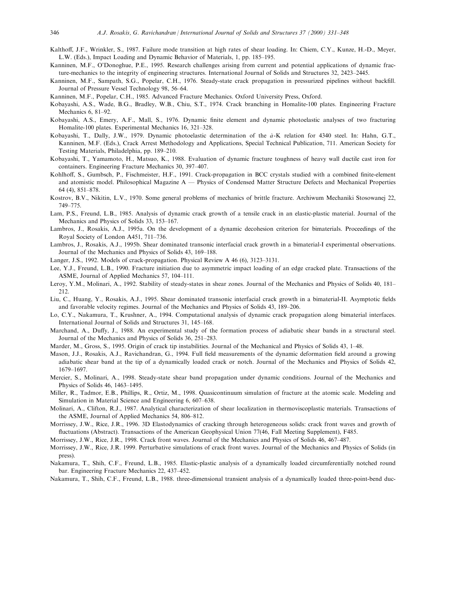- Kalthoff, J.F., Wrinkler, S., 1987. Failure mode transition at high rates of shear loading. In: Chiem, C.Y., Kunze, H.-D., Meyer, L.W. (Eds.), Impact Loading and Dynamic Behavior of Materials, 1, pp. 185-195.
- Kanninen, M.F., O'Donoghue, P.E., 1995. Research challenges arising from current and potential applications of dynamic fracture-mechanics to the integrity of engineering structures. International Journal of Solids and Structures 32, 2423-2445.
- Kanninen, M.F., Sampath, S.G., Popelar, C.H., 1976. Steady-state crack propagation in pressurized pipelines without backfill. Journal of Pressure Vessel Technology 98, 56-64.
- Kanninen, M.F., Popelar, C.H., 1985. Advanced Fracture Mechanics. Oxford University Press, Oxford.
- Kobayashi, A.S., Wade, B.G., Bradley, W.B., Chiu, S.T., 1974. Crack branching in Homalite-100 plates. Engineering Fracture Mechanics  $6, 81-92$ .
- Kobayashi, A.S., Emery, A.F., Mall, S., 1976. Dynamic finite element and dynamic photoelastic analyses of two fracturing Homalite-100 plates. Experimental Mechanics 16, 321–328.
- Kobayashi, T., Dally, J.W., 1979. Dynamic photoelastic determination of the  $\dot{a}$ -K relation for 4340 steel. In: Hahn, G.T., Kanninen, M.F. (Eds.), Crack Arrest Methodology and Applications, Special Technical Publication, 711. American Society for Testing Materials, Philadelphia, pp. 189-210.
- Kobayashi, T., Yamamoto, H., Matsuo, K., 1988. Evaluation of dynamic fracture toughness of heavy wall ductile cast iron for containers. Engineering Fracture Mechanics 30, 397-407.
- Kohlhoff, S., Gumbsch, P., Fischmeister, H.F., 1991. Crack-propagation in BCC crystals studied with a combined finite-element and atomistic model. Philosophical Magazine  $A$   $-$  Physics of Condensed Matter Structure Defects and Mechanical Properties  $64(4)$ ,  $851-878$ .
- Kostrov, B.V., Nikitin, L.V., 1970. Some general problems of mechanics of brittle fracture. Archiwum Mechaniki Stosowanej 22, 749±775.
- Lam, P.S., Freund, L.B., 1985. Analysis of dynamic crack growth of a tensile crack in an elastic-plastic material. Journal of the Mechanics and Physics of Solids 33, 153-167.
- Lambros, J., Rosakis, A.J., 1995a. On the development of a dynamic decohesion criterion for bimaterials. Proceedings of the Royal Society of London A451, 711-736.
- Lambros, J., Rosakis, A.J., 1995b. Shear dominated transonic interfacial crack growth in a bimaterial-I experimental observations. Journal of the Mechanics and Physics of Solids 43, 169-188.
- Langer, J.S., 1992. Models of crack-propagation. Physical Review A 46 (6), 3123-3131.
- Lee, Y.J., Freund, L.B., 1990. Fracture initiation due to asymmetric impact loading of an edge cracked plate. Transactions of the ASME, Journal of Applied Mechanics 57, 104-111.
- Leroy, Y.M., Molinari, A., 1992. Stability of steady-states in shear zones. Journal of the Mechanics and Physics of Solids 40, 181-212.
- Liu, C., Huang, Y., Rosakis, A.J., 1995. Shear dominated transonic interfacial crack growth in a bimaterial-II. Asymptotic fields and favorable velocity regimes. Journal of the Mechanics and Physics of Solids 43, 189–206.
- Lo, C.Y., Nakamura, T., Krushner, A., 1994. Computational analysis of dynamic crack propagation along bimaterial interfaces. International Journal of Solids and Structures 31, 145-168.
- Marchand, A., Duffy, J., 1988. An experimental study of the formation process of adiabatic shear bands in a structural steel. Journal of the Mechanics and Physics of Solids 36, 251-283.
- Marder, M., Gross, S., 1995. Origin of crack tip instabilities. Journal of the Mechanical and Physics of Solids 43, 1-48.
- Mason, J.J., Rosakis, A.J., Ravichandran, G., 1994. Full field measurements of the dynamic deformation field around a growing adiabatic shear band at the tip of a dynamically loaded crack or notch. Journal of the Mechanics and Physics of Solids 42, 1679±1697.
- Mercier, S., Molinari, A., 1998. Steady-state shear band propagation under dynamic conditions. Journal of the Mechanics and Physics of Solids 46, 1463-1495.
- Miller, R., Tadmor, E.B., Phillips, R., Ortiz, M., 1998. Quasicontinuum simulation of fracture at the atomic scale. Modeling and Simulation in Material Science and Engineering 6, 607-638.
- Molinari, A., Clifton, R.J., 1987. Analytical characterization of shear localization in thermoviscoplastic materials. Transactions of the ASME, Journal of Applied Mechanics 54, 806–812.
- Morrissey, J.W., Rice, J.R., 1996. 3D Elastodynamics of cracking through heterogeneous solids: crack front waves and growth of fluctuations (Abstract). Transactions of the American Geophysical Union 77(46, Fall Meeting Supplement), F485.
- Morrissey, J.W., Rice, J.R., 1998. Crack front waves. Journal of the Mechanics and Physics of Solids 46, 467-487.
- Morrissey, J.W., Rice, J.R. 1999. Perturbative simulations of crack front waves. Journal of the Mechanics and Physics of Solids (in press).
- Nakamura, T., Shih, C.F., Freund, L.B., 1985. Elastic-plastic analysis of a dynamically loaded circumferentially notched round bar. Engineering Fracture Mechanics 22, 437-452.
- Nakamura, T., Shih, C.F., Freund, L.B., 1988. three-dimensional transient analysis of a dynamically loaded three-point-bend duc-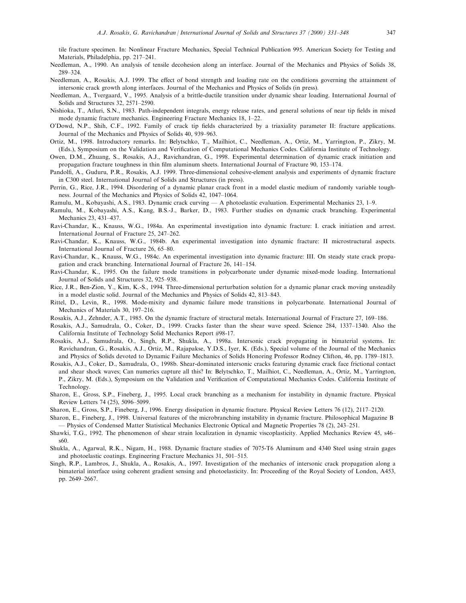tile fracture specimen. In: Nonlinear Fracture Mechanics, Special Technical Publication 995. American Society for Testing and Materials, Philadelphia, pp. 217-241.

- Needleman, A., 1990. An analysis of tensile decohesion along an interface. Journal of the Mechanics and Physics of Solids 38, 289±324.
- Needleman, A., Rosakis, A.J. 1999. The effect of bond strength and loading rate on the conditions governing the attainment of intersonic crack growth along interfaces. Journal of the Mechanics and Physics of Solids (in press).
- Needleman, A., Tvergaard, V., 1995. Analysis of a brittle-ductile transition under dynamic shear loading. International Journal of Solids and Structures 32, 2571-2590.
- Nishioka, T., Atluri, S.N., 1983. Path-independent integrals, energy release rates, and general solutions of near tip fields in mixed mode dynamic fracture mechanics. Engineering Fracture Mechanics 18, 1–22.
- O'Dowd, N.P., Shih, C.F., 1992. Family of crack tip fields characterized by a triaxiality parameter II: fracture applications. Journal of the Mechanics and Physics of Solids 40, 939-963.
- Ortiz, M., 1998. Introductory remarks. In: Belytschko, T., Mailhiot, C., Needleman, A., Ortiz, M., Yarrington, P., Zikry, M. (Eds.), Symposium on the Validation and Verification of Computational Mechanics Codes. California Institute of Technology.
- Owen, D.M., Zhuang, S., Rosakis, A.J., Ravichandran, G., 1998. Experimental determination of dynamic crack initiation and propagation fracture toughness in thin film aluminum sheets. International Journal of Fracture 90, 153-174.
- Pandolfi, A., Guduru, P.R., Rosakis, A.J. 1999. Three-dimensional cohesive-element analysis and experiments of dynamic fracture in C300 steel. International Journal of Solids and Structures (in press).
- Perrin, G., Rice, J.R., 1994. Disordering of a dynamic planar crack front in a model elastic medium of randomly variable toughness. Journal of the Mechanics and Physics of Solids 42, 1047–1064.
- Ramulu, M., Kobayashi, A.S., 1983. Dynamic crack curving  $\overline{O}$  A photoelastic evaluation. Experimental Mechanics 23, 1–9.
- Ramulu, M., Kobayashi, A.S., Kang, B.S.-J., Barker, D., 1983. Further studies on dynamic crack branching. Experimental Mechanics 23, 431-437.
- Ravi-Chandar, K., Knauss, W.G., 1984a. An experimental investigation into dynamic fracture: I. crack initiation and arrest. International Journal of Fracture 25, 247-262.
- Ravi-Chandar, K., Knauss, W.G., 1984b. An experimental investigation into dynamic fracture: II microstructural aspects. International Journal of Fracture 26, 65-80.
- Ravi-Chandar, K., Knauss, W.G., 1984c. An experimental investigation into dynamic fracture: III. On steady state crack propagation and crack branching. International Journal of Fracture 26, 141-154.
- Ravi-Chandar, K., 1995. On the failure mode transitions in polycarbonate under dynamic mixed-mode loading. International Journal of Solids and Structures 32, 925-938.
- Rice, J.R., Ben-Zion, Y., Kim, K.-S., 1994. Three-dimensional perturbation solution for a dynamic planar crack moving unsteadily in a model elastic solid. Journal of the Mechanics and Physics of Solids 42, 813-843.
- Rittel, D., Levin, R., 1998. Mode-mixity and dynamic failure mode transitions in polycarbonate. International Journal of Mechanics of Materials 30, 197-216.
- Rosakis, A.J., Zehnder, A.T., 1985. On the dynamic fracture of structural metals. International Journal of Fracture 27, 169–186.
- Rosakis, A.J., Samudrala, O., Coker, D., 1999. Cracks faster than the shear wave speed. Science 284, 1337-1340. Also the California Institute of Technology Solid Mechanics Report #98-17.
- Rosakis, A.J., Samudrala, O., Singh, R.P., Shukla, A., 1998a. Intersonic crack propagating in bimaterial systems. In: Ravichandran, G., Rosakis, A.J., Ortiz, M., Rajapakse, Y.D.S., Iyer, K. (Eds.), Special volume of the Journal of the Mechanics and Physics of Solids devoted to Dynamic Failure Mechanics of Solids Honoring Professor Rodney Clifton, 46, pp. 1789-1813.
- Rosakis, A.J., Coker, D., Samudrala, O., 1998b. Shear-dominated intersonic cracks featuring dynamic crack face frictional contact and shear shock waves; Can numerics capture all this? In: Belytschko, T., Mailhiot, C., Needleman, A., Ortiz, M., Yarrington, P., Zikry, M. (Eds.), Symposium on the Validation and Verification of Computational Mechanics Codes. California Institute of Technology.
- Sharon, E., Gross, S.P., Fineberg, J., 1995. Local crack branching as a mechanism for instability in dynamic fracture. Physical Review Letters 74 (25), 5096–5099.
- Sharon, E., Gross, S.P., Fineberg, J., 1996. Energy dissipation in dynamic fracture. Physical Review Letters 76 (12), 2117-2120.
- Sharon, E., Fineberg, J., 1998. Universal features of the microbranching instability in dynamic fracture. Philosophical Magazine B Ð Physics of Condensed Matter Statistical Mechanics Electronic Optical and Magnetic Properties 78 (2), 243±251.
- Shawki, T.G., 1992. The phenomenon of shear strain localization in dynamic viscoplasticity. Applied Mechanics Review 45, s46± s60.
- Shukla, A., Agarwal, R.K., Nigam, H., 1988. Dynamic fracture studies of 7075-T6 Aluminum and 4340 Steel using strain gages and photoelastic coatings. Engineering Fracture Mechanics 31, 501-515.
- Singh, R.P., Lambros, J., Shukla, A., Rosakis, A., 1997. Investigation of the mechanics of intersonic crack propagation along a bimaterial interface using coherent gradient sensing and photoelasticity. In: Proceeding of the Royal Society of London, A453, pp. 2649-2667.